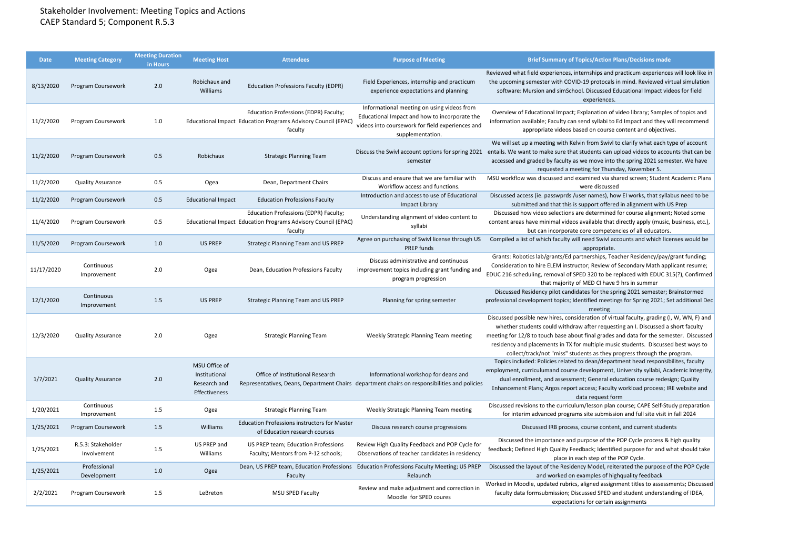## Stakeholder Involvement: Meeting Topics and Actions CAEP Standard 5; Component R.5.3

| <b>Date</b> | <b>Meeting Category</b>           | <b>Meeting Duration</b><br>in Hours | <b>Meeting Host</b>                                             | <b>Attendees</b>                                                                                                  | <b>Purpose of Meeting</b>                                                                                                                                           | <b>Brief Summary of Topics/Action Plans/Decisions made</b>                                                                                                                                                                                                                                                                                                                                                                               |
|-------------|-----------------------------------|-------------------------------------|-----------------------------------------------------------------|-------------------------------------------------------------------------------------------------------------------|---------------------------------------------------------------------------------------------------------------------------------------------------------------------|------------------------------------------------------------------------------------------------------------------------------------------------------------------------------------------------------------------------------------------------------------------------------------------------------------------------------------------------------------------------------------------------------------------------------------------|
| 8/13/2020   | Program Coursework                | 2.0                                 | Robichaux and<br>Williams                                       | <b>Education Professions Faculty (EDPR)</b>                                                                       | Field Experiences, internship and practicum<br>experience expectations and planning                                                                                 | Reviewed what field experiences, internships and practicum experiences will look like in<br>the upcoming semester with COVID-19 protocals in mind. Reviewed virtual simulation<br>software: Mursion and simSchool. Discussed Educational Impact videos for field<br>experiences.                                                                                                                                                         |
| 11/2/2020   | Program Coursework                | $1.0$                               |                                                                 | Education Professions (EDPR) Faculty;<br>Educational Impact Education Programs Advisory Council (EPAC)<br>faculty | Informational meeting on using videos from<br>Educational Impact and how to incorporate the<br>videos into coursework for field experiences and<br>supplementation. | Overview of Educational Impact; Explanation of video library; Samples of topics and<br>information available; Faculty can send syllabi to Ed Impact and they will recommend<br>appropriate videos based on course content and objectives.                                                                                                                                                                                                |
| 11/2/2020   | Program Coursework                | 0.5                                 | Robichaux                                                       | <b>Strategic Planning Team</b>                                                                                    | semester                                                                                                                                                            | We will set up a meeting with Kelvin from Swivl to clarify what each type of account<br>Discuss the Swivl account options for spring 2021 entails. We want to make sure that students can upload videos to accounts that can be<br>accessed and graded by faculty as we move into the spring 2021 semester. We have<br>requested a meeting for Thursday, November 5.                                                                     |
| 11/2/2020   | <b>Quality Assurance</b>          | 0.5                                 | Ogea                                                            | Dean, Department Chairs                                                                                           | Discuss and ensure that we are familiar with<br>Workflow access and functions.                                                                                      | MSU workflow was discussed and examined via shared screen; Student Academic Plans<br>were discussed                                                                                                                                                                                                                                                                                                                                      |
| 11/2/2020   | Program Coursework                | 0.5                                 | <b>Educational Impact</b>                                       | <b>Education Professions Faculty</b>                                                                              | Introduction and access to use of Educational<br>Impact Library                                                                                                     | Discussed access (ie. passwprds /user names), how EI works, that syllabus need to be<br>submitted and that this is support offered in alignment with US Prep                                                                                                                                                                                                                                                                             |
| 11/4/2020   | Program Coursework                | 0.5                                 |                                                                 | Education Professions (EDPR) Faculty;<br>Educational Impact Education Programs Advisory Council (EPAC)<br>faculty | Understanding alignment of video content to<br>syllabi                                                                                                              | Discussed how video selections are determined for course alignment; Noted some<br>content areas have minimal videos available that directly apply (music, business, etc.),<br>but can incorporate core competencies of all educators.                                                                                                                                                                                                    |
| 11/5/2020   | Program Coursework                | 1.0                                 | <b>US PREP</b>                                                  | Strategic Planning Team and US PREP                                                                               | Agree on purchasing of Swivl license through US<br>PREP funds                                                                                                       | Compiled a list of which faculty will need Swivl accounts and which licenses would be<br>appropriate.                                                                                                                                                                                                                                                                                                                                    |
| 11/17/2020  | Continuous<br>Improvement         | 2.0                                 | Ogea                                                            | Dean, Education Professions Faculty                                                                               | Discuss administrative and continuous<br>improvement topics including grant funding and<br>program progression                                                      | Grants: Robotics lab/grants/Ed partnerships, Teacher Residency/pay/grant funding;<br>Consideration to hire ELEM instructor; Review of Secondary Math applicant resume;<br>EDUC 216 scheduling, removal of SPED 320 to be replaced with EDUC 315(?), Confirmed<br>that majority of MED CI have 9 hrs in summer                                                                                                                            |
| 12/1/2020   | Continuous<br>Improvement         | 1.5                                 | <b>US PREP</b>                                                  | Strategic Planning Team and US PREP                                                                               | Planning for spring semester                                                                                                                                        | Discussed Residency pilot candidates for the spring 2021 semester; Brainstormed<br>professional development topics; Identified meetings for Spring 2021; Set additional Dec<br>meeting                                                                                                                                                                                                                                                   |
| 12/3/2020   | <b>Quality Assurance</b>          | 2.0                                 | Ogea                                                            | <b>Strategic Planning Team</b>                                                                                    | Weekly Strategic Planning Team meeting                                                                                                                              | Discussed possible new hires, consideration of virtual faculty, grading (I, W, WN, F) and<br>whether students could withdraw after requesting an I. Discussed a short faculty<br>meeting for 12/8 to touch base about final grades and data for the semester. Discussed<br>residency and placements in TX for multiple music students. Discussed best ways to<br>collect/track/not "miss" students as they progress through the program. |
| 1/7/2021    | <b>Quality Assurance</b>          | 2.0                                 | MSU Office of<br>Institutional<br>Research and<br>Effectiveness | Office of Institutional Research                                                                                  | Informational workshop for deans and<br>Representatives, Deans, Department Chairs department chairs on responsibilities and policies                                | Topics included: Policies related to dean/department head responsibilites, faculty<br>employment, curriculumand course development, University syllabi, Academic Integrity,<br>dual enrollment, and assessment; General education course redesign; Quality<br>Enhancement Plans; Argos report access; Faculty workload process; IRE website and<br>data request form                                                                     |
| 1/20/2021   | Continuous<br>Improvement         | 1.5                                 | Ogea                                                            | <b>Strategic Planning Team</b>                                                                                    | Weekly Strategic Planning Team meeting                                                                                                                              | Discussed revisions to the curriculum/lesson plan course; CAPE Self-Study preparation<br>for interim advanced programs site submission and full site visit in fall 2024                                                                                                                                                                                                                                                                  |
| 1/25/2021   | Program Coursework                | 1.5                                 | Williams                                                        | <b>Education Professions instructors for Master</b><br>of Education research courses                              | Discuss research course progressions                                                                                                                                | Discussed IRB process, course content, and current students                                                                                                                                                                                                                                                                                                                                                                              |
| 1/25/2021   | R.5.3: Stakeholder<br>Involvement | 1.5                                 | US PREP and<br>Williams                                         | US PREP team; Education Professions<br>Faculty; Mentors from P-12 schools;                                        | Review High Quality Feedback and POP Cycle for<br>Observations of teacher candidates in residency                                                                   | Discussed the importance and purpose of the POP Cycle process & high quality<br>feedback; Defined High Quality Feedback; Identified purpose for and what should take<br>place in each step of the POP Cycle.                                                                                                                                                                                                                             |
| 1/25/2021   | Professional<br>Development       | 1.0                                 | Ogea                                                            | Faculty                                                                                                           | Dean, US PREP team, Education Professions Education Professions Faculty Meeting; US PREP<br>Relaunch                                                                | Discussed the layout of the Residency Model, reiterated the purpose of the POP Cycle<br>and worked on examples of highquality feedback                                                                                                                                                                                                                                                                                                   |
| 2/2/2021    | Program Coursework                | 1.5                                 | LeBreton                                                        | MSU SPED Faculty                                                                                                  | Review and make adjustment and correction in<br>Moodle for SPED coures                                                                                              | Worked in Moodle, updated rubrics, aligned assignment titles to assessments; Discussed<br>faculty data formsubmission; Discussed SPED and student understanding of IDEA,<br>expectations for certain assignments                                                                                                                                                                                                                         |